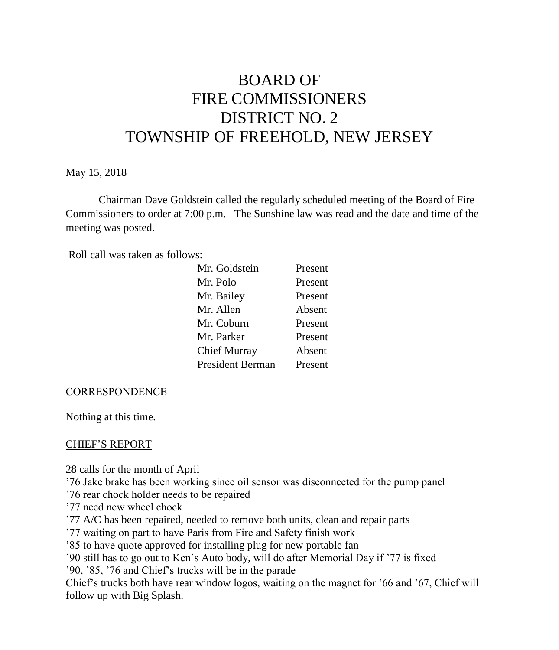# BOARD OF FIRE COMMISSIONERS DISTRICT NO. 2 TOWNSHIP OF FREEHOLD, NEW JERSEY

May 15, 2018

Chairman Dave Goldstein called the regularly scheduled meeting of the Board of Fire Commissioners to order at 7:00 p.m. The Sunshine law was read and the date and time of the meeting was posted.

Roll call was taken as follows:

| Mr. Goldstein           | Present |
|-------------------------|---------|
| Mr. Polo                | Present |
| Mr. Bailey              | Present |
| Mr. Allen               | Absent  |
| Mr. Coburn              | Present |
| Mr. Parker              | Present |
| Chief Murray            | Absent  |
| <b>President Berman</b> | Present |

#### **CORRESPONDENCE**

Nothing at this time.

#### CHIEF'S REPORT

28 calls for the month of April

'76 Jake brake has been working since oil sensor was disconnected for the pump panel

- '76 rear chock holder needs to be repaired
- '77 need new wheel chock
- '77 A/C has been repaired, needed to remove both units, clean and repair parts
- '77 waiting on part to have Paris from Fire and Safety finish work

'85 to have quote approved for installing plug for new portable fan

'90 still has to go out to Ken's Auto body, will do after Memorial Day if '77 is fixed

'90, '85, '76 and Chief's trucks will be in the parade

Chief's trucks both have rear window logos, waiting on the magnet for '66 and '67, Chief will follow up with Big Splash.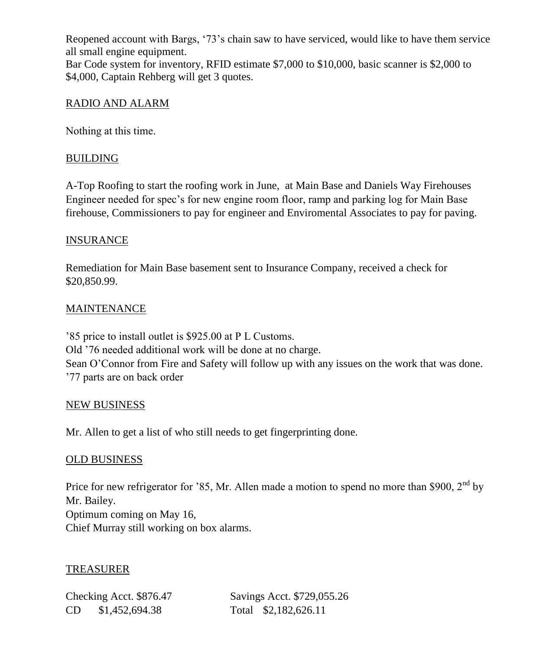Reopened account with Bargs, '73's chain saw to have serviced, would like to have them service all small engine equipment. Bar Code system for inventory, RFID estimate \$7,000 to \$10,000, basic scanner is \$2,000 to \$4,000, Captain Rehberg will get 3 quotes.

# RADIO AND ALARM

Nothing at this time.

# BUILDING

A-Top Roofing to start the roofing work in June, at Main Base and Daniels Way Firehouses Engineer needed for spec's for new engine room floor, ramp and parking log for Main Base firehouse, Commissioners to pay for engineer and Enviromental Associates to pay for paving.

# INSURANCE

Remediation for Main Base basement sent to Insurance Company, received a check for \$20,850.99.

## **MAINTENANCE**

'85 price to install outlet is \$925.00 at P L Customs. Old '76 needed additional work will be done at no charge. Sean O'Connor from Fire and Safety will follow up with any issues on the work that was done. '77 parts are on back order

## NEW BUSINESS

Mr. Allen to get a list of who still needs to get fingerprinting done.

## OLD BUSINESS

Price for new refrigerator for '85, Mr. Allen made a motion to spend no more than \$900,  $2<sup>nd</sup>$  by Mr. Bailey. Optimum coming on May 16, Chief Murray still working on box alarms.

## TREASURER

CD \$1,452,694.38 Total \$2,182,626.11

Checking Acct. \$876.47 Savings Acct. \$729,055.26